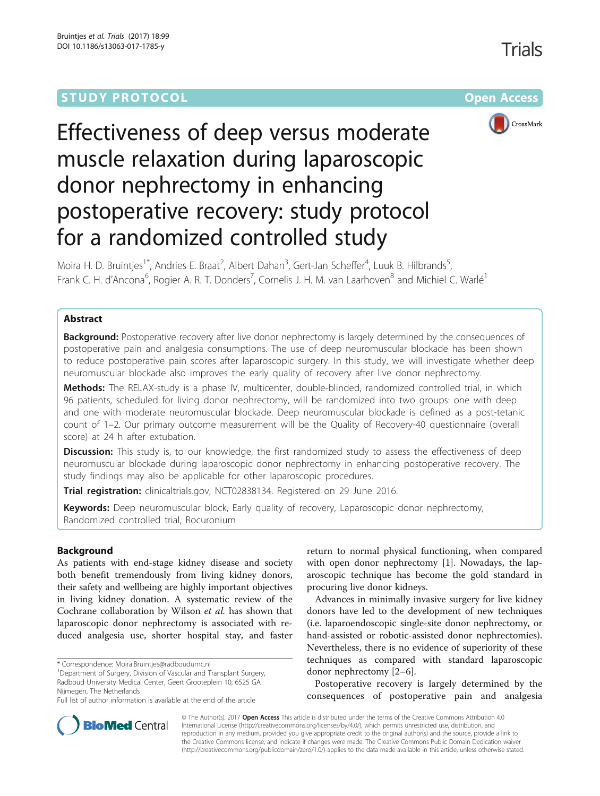# **STUDY PROTOCOL CONSUMING THE RESERVE ACCESS**



# Effectiveness of deep versus moderate muscle relaxation during laparoscopic donor nephrectomy in enhancing postoperative recovery: study protocol for a randomized controlled study

Moira H. D. Bruintjes<sup>1\*</sup>, Andries E. Braat<sup>2</sup>, Albert Dahan<sup>3</sup>, Gert-Jan Scheffer<sup>4</sup>, Luuk B. Hilbrands<sup>5</sup> , Frank C. H. d'Ancona<sup>6</sup>, Rogier A. R. T. Donders<sup>7</sup>, Cornelis J. H. M. van Laarhoven<sup>8</sup> and Michiel C. Warlé<sup>1</sup>

## Abstract

**Background:** Postoperative recovery after live donor nephrectomy is largely determined by the consequences of postoperative pain and analgesia consumptions. The use of deep neuromuscular blockade has been shown to reduce postoperative pain scores after laparoscopic surgery. In this study, we will investigate whether deep neuromuscular blockade also improves the early quality of recovery after live donor nephrectomy.

Methods: The RELAX-study is a phase IV, multicenter, double-blinded, randomized controlled trial, in which 96 patients, scheduled for living donor nephrectomy, will be randomized into two groups: one with deep and one with moderate neuromuscular blockade. Deep neuromuscular blockade is defined as a post-tetanic count of 1–2. Our primary outcome measurement will be the Quality of Recovery-40 questionnaire (overall score) at 24 h after extubation.

**Discussion:** This study is, to our knowledge, the first randomized study to assess the effectiveness of deep neuromuscular blockade during laparoscopic donor nephrectomy in enhancing postoperative recovery. The study findings may also be applicable for other laparoscopic procedures.

Trial registration: clinicaltrials.gov, [NCT02838134](https://clinicaltrials.gov/ct2/show/NCT02838134). Registered on 29 June 2016.

Keywords: Deep neuromuscular block, Early quality of recovery, Laparoscopic donor nephrectomy, Randomized controlled trial, Rocuronium

## Background

As patients with end-stage kidney disease and society both benefit tremendously from living kidney donors, their safety and wellbeing are highly important objectives in living kidney donation. A systematic review of the Cochrane collaboration by Wilson et al. has shown that laparoscopic donor nephrectomy is associated with reduced analgesia use, shorter hospital stay, and faster

\* Correspondence: [Moira.Bruintjes@radboudumc.nl](mailto:Moira.Bruintjes@radboudumc.nl) <sup>1</sup>

<sup>1</sup>Department of Surgery, Division of Vascular and Transplant Surgery, Radboud University Medical Center, Geert Grooteplein 10, 6525 GA Nijmegen, The Netherlands

return to normal physical functioning, when compared with open donor nephrectomy [\[1](#page-6-0)]. Nowadays, the laparoscopic technique has become the gold standard in procuring live donor kidneys.

Advances in minimally invasive surgery for live kidney donors have led to the development of new techniques (i.e. laparoendoscopic single-site donor nephrectomy, or hand-assisted or robotic-assisted donor nephrectomies). Nevertheless, there is no evidence of superiority of these techniques as compared with standard laparoscopic donor nephrectomy [\[2](#page-6-0)–[6\]](#page-6-0).

Postoperative recovery is largely determined by the consequences of postoperative pain and analgesia



© The Author(s). 2017 **Open Access** This article is distributed under the terms of the Creative Commons Attribution 4.0 International License [\(http://creativecommons.org/licenses/by/4.0/](http://creativecommons.org/licenses/by/4.0/)), which permits unrestricted use, distribution, and reproduction in any medium, provided you give appropriate credit to the original author(s) and the source, provide a link to the Creative Commons license, and indicate if changes were made. The Creative Commons Public Domain Dedication waiver [\(http://creativecommons.org/publicdomain/zero/1.0/](http://creativecommons.org/publicdomain/zero/1.0/)) applies to the data made available in this article, unless otherwise stated.

Full list of author information is available at the end of the article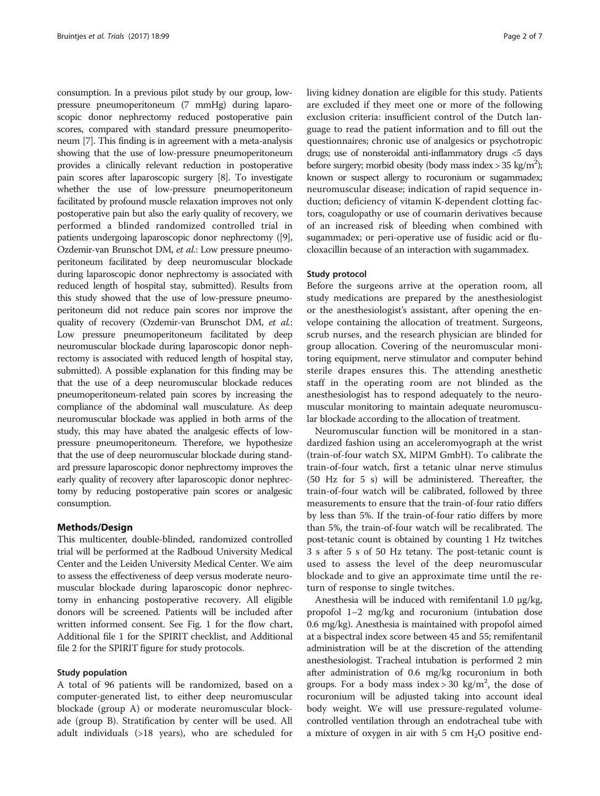consumption. In a previous pilot study by our group, lowpressure pneumoperitoneum (7 mmHg) during laparoscopic donor nephrectomy reduced postoperative pain scores, compared with standard pressure pneumoperitoneum [\[7\]](#page-6-0). This finding is in agreement with a meta-analysis showing that the use of low-pressure pneumoperitoneum provides a clinically relevant reduction in postoperative pain scores after laparoscopic surgery [\[8\]](#page-6-0). To investigate whether the use of low-pressure pneumoperitoneum facilitated by profound muscle relaxation improves not only postoperative pain but also the early quality of recovery, we performed a blinded randomized controlled trial in patients undergoing laparoscopic donor nephrectomy ([[9](#page-6-0)], Ozdemir-van Brunschot DM, et al.: Low pressure pneumoperitoneum facilitated by deep neuromuscular blockade during laparoscopic donor nephrectomy is associated with reduced length of hospital stay, submitted). Results from this study showed that the use of low-pressure pneumoperitoneum did not reduce pain scores nor improve the quality of recovery (Ozdemir-van Brunschot DM, et al.: Low pressure pneumoperitoneum facilitated by deep neuromuscular blockade during laparoscopic donor nephrectomy is associated with reduced length of hospital stay, submitted). A possible explanation for this finding may be that the use of a deep neuromuscular blockade reduces pneumoperitoneum-related pain scores by increasing the compliance of the abdominal wall musculature. As deep neuromuscular blockade was applied in both arms of the study, this may have abated the analgesic effects of lowpressure pneumoperitoneum. Therefore, we hypothesize that the use of deep neuromuscular blockade during standard pressure laparoscopic donor nephrectomy improves the early quality of recovery after laparoscopic donor nephrectomy by reducing postoperative pain scores or analgesic consumption.

## Methods/Design

This multicenter, double-blinded, randomized controlled trial will be performed at the Radboud University Medical Center and the Leiden University Medical Center. We aim to assess the effectiveness of deep versus moderate neuromuscular blockade during laparoscopic donor nephrectomy in enhancing postoperative recovery. All eligible donors will be screened. Patients will be included after written informed consent. See Fig. [1](#page-2-0) for the flow chart, Additional file [1](#page-5-0) for the SPIRIT checklist, and Additional file [2](#page-5-0) for the SPIRIT figure for study protocols.

## Study population

A total of 96 patients will be randomized, based on a computer-generated list, to either deep neuromuscular blockade (group A) or moderate neuromuscular blockade (group B). Stratification by center will be used. All adult individuals (>18 years), who are scheduled for living kidney donation are eligible for this study. Patients are excluded if they meet one or more of the following exclusion criteria: insufficient control of the Dutch language to read the patient information and to fill out the questionnaires; chronic use of analgesics or psychotropic drugs; use of nonsteroidal anti-inflammatory drugs <5 days before surgery; morbid obesity (body mass index  $>$  35 kg/m<sup>2</sup>); known or suspect allergy to rocuronium or sugammadex; neuromuscular disease; indication of rapid sequence induction; deficiency of vitamin K-dependent clotting factors, coagulopathy or use of coumarin derivatives because of an increased risk of bleeding when combined with sugammadex; or peri-operative use of fusidic acid or flucloxacillin because of an interaction with sugammadex.

## Study protocol

Before the surgeons arrive at the operation room, all study medications are prepared by the anesthesiologist or the anesthesiologist's assistant, after opening the envelope containing the allocation of treatment. Surgeons, scrub nurses, and the research physician are blinded for group allocation. Covering of the neuromuscular monitoring equipment, nerve stimulator and computer behind sterile drapes ensures this. The attending anesthetic staff in the operating room are not blinded as the anesthesiologist has to respond adequately to the neuromuscular monitoring to maintain adequate neuromuscular blockade according to the allocation of treatment.

Neuromuscular function will be monitored in a standardized fashion using an acceleromyograph at the wrist (train-of-four watch SX, MIPM GmbH). To calibrate the train-of-four watch, first a tetanic ulnar nerve stimulus (50 Hz for 5 s) will be administered. Thereafter, the train-of-four watch will be calibrated, followed by three measurements to ensure that the train-of-four ratio differs by less than 5%. If the train-of-four ratio differs by more than 5%, the train-of-four watch will be recalibrated. The post-tetanic count is obtained by counting 1 Hz twitches 3 s after 5 s of 50 Hz tetany. The post-tetanic count is used to assess the level of the deep neuromuscular blockade and to give an approximate time until the return of response to single twitches.

Anesthesia will be induced with remifentanil 1.0 μg/kg, propofol 1–2 mg/kg and rocuronium (intubation dose 0.6 mg/kg). Anesthesia is maintained with propofol aimed at a bispectral index score between 45 and 55; remifentanil administration will be at the discretion of the attending anesthesiologist. Tracheal intubation is performed 2 min after administration of 0.6 mg/kg rocuronium in both groups. For a body mass index > 30 kg/m<sup>2</sup>, the dose of rocuronium will be adjusted taking into account ideal body weight. We will use pressure-regulated volumecontrolled ventilation through an endotracheal tube with a mixture of oxygen in air with 5 cm  $H_2O$  positive end-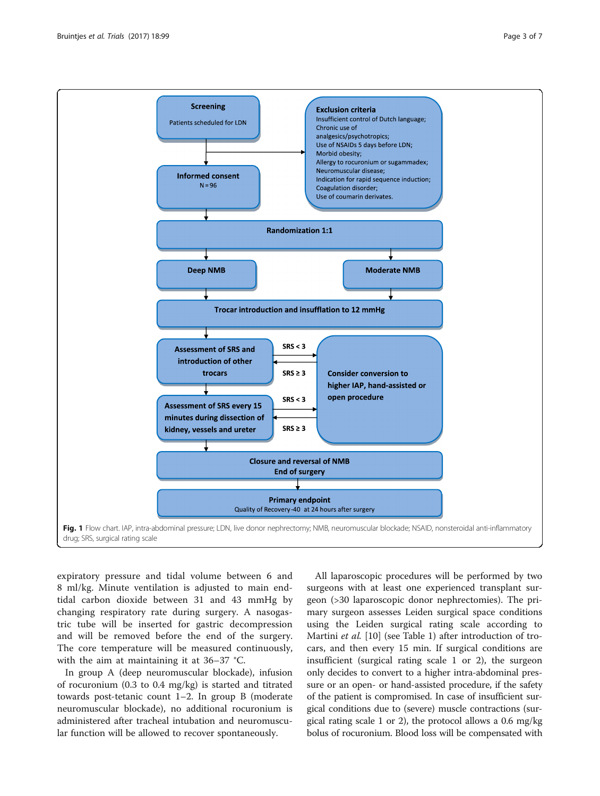<span id="page-2-0"></span>

expiratory pressure and tidal volume between 6 and 8 ml/kg. Minute ventilation is adjusted to main endtidal carbon dioxide between 31 and 43 mmHg by changing respiratory rate during surgery. A nasogastric tube will be inserted for gastric decompression and will be removed before the end of the surgery. The core temperature will be measured continuously, with the aim at maintaining it at 36–37 °C.

In group A (deep neuromuscular blockade), infusion of rocuronium (0.3 to 0.4 mg/kg) is started and titrated towards post-tetanic count 1–2. In group B (moderate neuromuscular blockade), no additional rocuronium is administered after tracheal intubation and neuromuscular function will be allowed to recover spontaneously.

All laparoscopic procedures will be performed by two surgeons with at least one experienced transplant surgeon (>30 laparoscopic donor nephrectomies). The primary surgeon assesses Leiden surgical space conditions using the Leiden surgical rating scale according to Martini et al. [\[10](#page-6-0)] (see Table [1\)](#page-3-0) after introduction of trocars, and then every 15 min. If surgical conditions are insufficient (surgical rating scale 1 or 2), the surgeon only decides to convert to a higher intra-abdominal pressure or an open- or hand-assisted procedure, if the safety of the patient is compromised. In case of insufficient surgical conditions due to (severe) muscle contractions (surgical rating scale 1 or 2), the protocol allows a 0.6 mg/kg bolus of rocuronium. Blood loss will be compensated with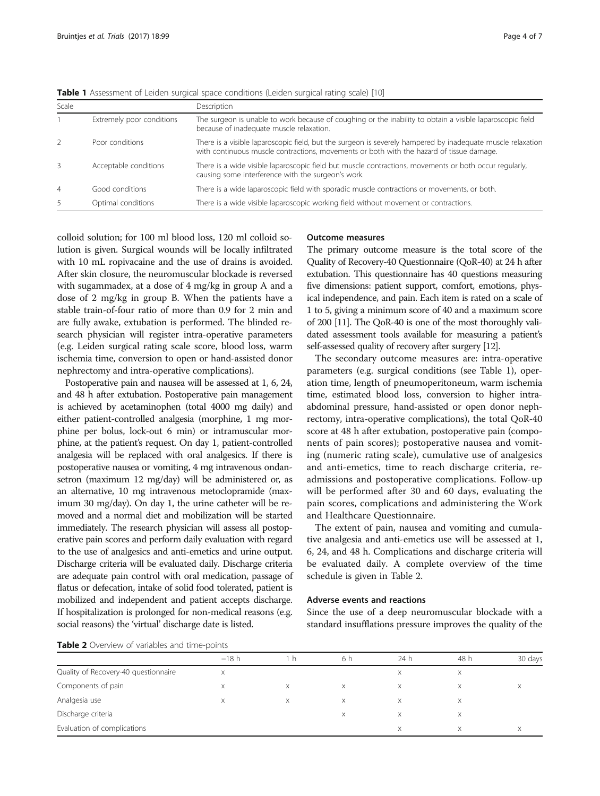| Scale                    |                           | Description                                                                                                                                                                                             |
|--------------------------|---------------------------|---------------------------------------------------------------------------------------------------------------------------------------------------------------------------------------------------------|
|                          | Extremely poor conditions | The surgeon is unable to work because of coughing or the inability to obtain a visible laparoscopic field<br>because of inadequate muscle relaxation.                                                   |
| $\overline{\phantom{a}}$ | Poor conditions           | There is a visible laparoscopic field, but the surgeon is severely hampered by inadequate muscle relaxation<br>with continuous muscle contractions, movements or both with the hazard of tissue damage. |
| 3                        | Acceptable conditions     | There is a wide visible laparoscopic field but muscle contractions, movements or both occur regularly,<br>causing some interference with the surgeon's work.                                            |
| $\overline{4}$           | Good conditions           | There is a wide laparoscopic field with sporadic muscle contractions or movements, or both.                                                                                                             |
|                          | Optimal conditions        | There is a wide visible laparoscopic working field without movement or contractions.                                                                                                                    |

<span id="page-3-0"></span>**Table 1** Assessment of Leiden surgical space conditions (Leiden surgical rating scale) [\[10\]](#page-6-0)

colloid solution; for 100 ml blood loss, 120 ml colloid solution is given. Surgical wounds will be locally infiltrated with 10 mL ropivacaine and the use of drains is avoided. After skin closure, the neuromuscular blockade is reversed with sugammadex, at a dose of 4 mg/kg in group A and a dose of 2 mg/kg in group B. When the patients have a stable train-of-four ratio of more than 0.9 for 2 min and are fully awake, extubation is performed. The blinded research physician will register intra-operative parameters (e.g. Leiden surgical rating scale score, blood loss, warm ischemia time, conversion to open or hand-assisted donor nephrectomy and intra-operative complications).

Postoperative pain and nausea will be assessed at 1, 6, 24, and 48 h after extubation. Postoperative pain management is achieved by acetaminophen (total 4000 mg daily) and either patient-controlled analgesia (morphine, 1 mg morphine per bolus, lock-out 6 min) or intramuscular morphine, at the patient's request. On day 1, patient-controlled analgesia will be replaced with oral analgesics. If there is postoperative nausea or vomiting, 4 mg intravenous ondansetron (maximum 12 mg/day) will be administered or, as an alternative, 10 mg intravenous metoclopramide (maximum 30 mg/day). On day 1, the urine catheter will be removed and a normal diet and mobilization will be started immediately. The research physician will assess all postoperative pain scores and perform daily evaluation with regard to the use of analgesics and anti-emetics and urine output. Discharge criteria will be evaluated daily. Discharge criteria are adequate pain control with oral medication, passage of flatus or defecation, intake of solid food tolerated, patient is mobilized and independent and patient accepts discharge. If hospitalization is prolonged for non-medical reasons (e.g. social reasons) the 'virtual' discharge date is listed.

#### Outcome measures

The primary outcome measure is the total score of the Quality of Recovery-40 Questionnaire (QoR-40) at 24 h after extubation. This questionnaire has 40 questions measuring five dimensions: patient support, comfort, emotions, physical independence, and pain. Each item is rated on a scale of 1 to 5, giving a minimum score of 40 and a maximum score of 200 [\[11](#page-6-0)]. The QoR-40 is one of the most thoroughly validated assessment tools available for measuring a patient's self-assessed quality of recovery after surgery [[12\]](#page-6-0).

The secondary outcome measures are: intra-operative parameters (e.g. surgical conditions (see Table 1), operation time, length of pneumoperitoneum, warm ischemia time, estimated blood loss, conversion to higher intraabdominal pressure, hand-assisted or open donor nephrectomy, intra-operative complications), the total QoR-40 score at 48 h after extubation, postoperative pain (components of pain scores); postoperative nausea and vomiting (numeric rating scale), cumulative use of analgesics and anti-emetics, time to reach discharge criteria, readmissions and postoperative complications. Follow-up will be performed after 30 and 60 days, evaluating the pain scores, complications and administering the Work and Healthcare Questionnaire.

The extent of pain, nausea and vomiting and cumulative analgesia and anti-emetics use will be assessed at 1, 6, 24, and 48 h. Complications and discharge criteria will be evaluated daily. A complete overview of the time schedule is given in Table 2.

## Adverse events and reactions

Since the use of a deep neuromuscular blockade with a standard insufflations pressure improves the quality of the

Table 2 Overview of variables and time-points

| <b>Table 2</b> Overview of Variables and time-points |        |   |     |      |      |         |  |  |
|------------------------------------------------------|--------|---|-----|------|------|---------|--|--|
|                                                      | $-18h$ |   | 6 h | 24 h | 48 h | 30 days |  |  |
| Quality of Recovery-40 questionnaire                 | X      |   |     |      | X    |         |  |  |
| Components of pain                                   |        | X | X   | X    | X    |         |  |  |
| Analgesia use                                        | X      | X | X   |      | X    |         |  |  |
| Discharge criteria                                   |        |   | X   |      | X    |         |  |  |
| Evaluation of complications                          |        |   | X   | X    |      |         |  |  |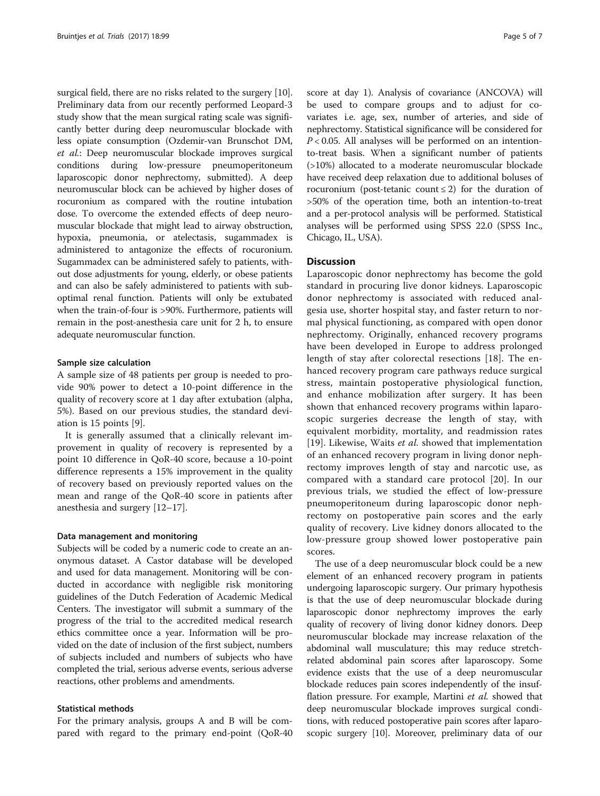surgical field, there are no risks related to the surgery [[10](#page-6-0)]. Preliminary data from our recently performed Leopard-3 study show that the mean surgical rating scale was significantly better during deep neuromuscular blockade with less opiate consumption (Ozdemir-van Brunschot DM, et al.: Deep neuromuscular blockade improves surgical conditions during low-pressure pneumoperitoneum laparoscopic donor nephrectomy, submitted). A deep neuromuscular block can be achieved by higher doses of rocuronium as compared with the routine intubation dose. To overcome the extended effects of deep neuromuscular blockade that might lead to airway obstruction, hypoxia, pneumonia, or atelectasis, sugammadex is administered to antagonize the effects of rocuronium. Sugammadex can be administered safely to patients, without dose adjustments for young, elderly, or obese patients and can also be safely administered to patients with suboptimal renal function. Patients will only be extubated when the train-of-four is >90%. Furthermore, patients will remain in the post-anesthesia care unit for 2 h, to ensure adequate neuromuscular function.

## Sample size calculation

A sample size of 48 patients per group is needed to provide 90% power to detect a 10-point difference in the quality of recovery score at 1 day after extubation (alpha, 5%). Based on our previous studies, the standard deviation is 15 points [[9\]](#page-6-0).

It is generally assumed that a clinically relevant improvement in quality of recovery is represented by a point 10 difference in QoR-40 score, because a 10-point difference represents a 15% improvement in the quality of recovery based on previously reported values on the mean and range of the QoR-40 score in patients after anesthesia and surgery [\[12](#page-6-0)–[17\]](#page-6-0).

## Data management and monitoring

Subjects will be coded by a numeric code to create an anonymous dataset. A Castor database will be developed and used for data management. Monitoring will be conducted in accordance with negligible risk monitoring guidelines of the Dutch Federation of Academic Medical Centers. The investigator will submit a summary of the progress of the trial to the accredited medical research ethics committee once a year. Information will be provided on the date of inclusion of the first subject, numbers of subjects included and numbers of subjects who have completed the trial, serious adverse events, serious adverse reactions, other problems and amendments.

## Statistical methods

For the primary analysis, groups A and B will be compared with regard to the primary end-point (QoR-40 score at day 1). Analysis of covariance (ANCOVA) will be used to compare groups and to adjust for covariates i.e. age, sex, number of arteries, and side of nephrectomy. Statistical significance will be considered for  $P < 0.05$ . All analyses will be performed on an intentionto-treat basis. When a significant number of patients (>10%) allocated to a moderate neuromuscular blockade have received deep relaxation due to additional boluses of rocuronium (post-tetanic count  $\leq$  2) for the duration of >50% of the operation time, both an intention-to-treat and a per-protocol analysis will be performed. Statistical analyses will be performed using SPSS 22.0 (SPSS Inc., Chicago, IL, USA).

## **Discussion**

Laparoscopic donor nephrectomy has become the gold standard in procuring live donor kidneys. Laparoscopic donor nephrectomy is associated with reduced analgesia use, shorter hospital stay, and faster return to normal physical functioning, as compared with open donor nephrectomy. Originally, enhanced recovery programs have been developed in Europe to address prolonged length of stay after colorectal resections [[18\]](#page-6-0). The enhanced recovery program care pathways reduce surgical stress, maintain postoperative physiological function, and enhance mobilization after surgery. It has been shown that enhanced recovery programs within laparoscopic surgeries decrease the length of stay, with equivalent morbidity, mortality, and readmission rates [[19](#page-6-0)]. Likewise, Waits et al. showed that implementation of an enhanced recovery program in living donor nephrectomy improves length of stay and narcotic use, as compared with a standard care protocol [[20](#page-6-0)]. In our previous trials, we studied the effect of low-pressure pneumoperitoneum during laparoscopic donor nephrectomy on postoperative pain scores and the early quality of recovery. Live kidney donors allocated to the low-pressure group showed lower postoperative pain scores.

The use of a deep neuromuscular block could be a new element of an enhanced recovery program in patients undergoing laparoscopic surgery. Our primary hypothesis is that the use of deep neuromuscular blockade during laparoscopic donor nephrectomy improves the early quality of recovery of living donor kidney donors. Deep neuromuscular blockade may increase relaxation of the abdominal wall musculature; this may reduce stretchrelated abdominal pain scores after laparoscopy. Some evidence exists that the use of a deep neuromuscular blockade reduces pain scores independently of the insufflation pressure. For example, Martini et al. showed that deep neuromuscular blockade improves surgical conditions, with reduced postoperative pain scores after laparoscopic surgery [\[10](#page-6-0)]. Moreover, preliminary data of our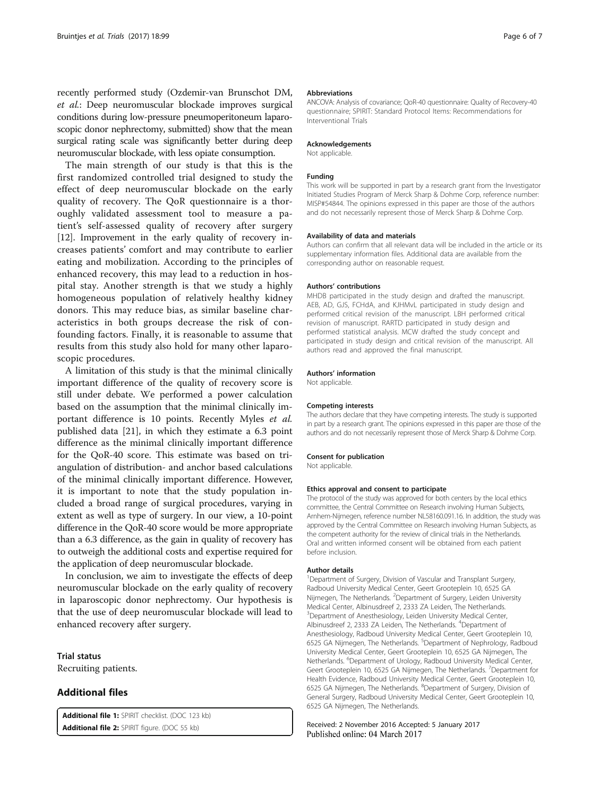<span id="page-5-0"></span>recently performed study (Ozdemir-van Brunschot DM, et al.: Deep neuromuscular blockade improves surgical conditions during low-pressure pneumoperitoneum laparoscopic donor nephrectomy, submitted) show that the mean surgical rating scale was significantly better during deep neuromuscular blockade, with less opiate consumption.

The main strength of our study is that this is the first randomized controlled trial designed to study the effect of deep neuromuscular blockade on the early quality of recovery. The QoR questionnaire is a thoroughly validated assessment tool to measure a patient's self-assessed quality of recovery after surgery [[12](#page-6-0)]. Improvement in the early quality of recovery increases patients' comfort and may contribute to earlier eating and mobilization. According to the principles of enhanced recovery, this may lead to a reduction in hospital stay. Another strength is that we study a highly homogeneous population of relatively healthy kidney donors. This may reduce bias, as similar baseline characteristics in both groups decrease the risk of confounding factors. Finally, it is reasonable to assume that results from this study also hold for many other laparoscopic procedures.

A limitation of this study is that the minimal clinically important difference of the quality of recovery score is still under debate. We performed a power calculation based on the assumption that the minimal clinically important difference is 10 points. Recently Myles et al. published data [[21\]](#page-6-0), in which they estimate a 6.3 point difference as the minimal clinically important difference for the QoR-40 score. This estimate was based on triangulation of distribution- and anchor based calculations of the minimal clinically important difference. However, it is important to note that the study population included a broad range of surgical procedures, varying in extent as well as type of surgery. In our view, a 10-point difference in the QoR-40 score would be more appropriate than a 6.3 difference, as the gain in quality of recovery has to outweigh the additional costs and expertise required for the application of deep neuromuscular blockade.

In conclusion, we aim to investigate the effects of deep neuromuscular blockade on the early quality of recovery in laparoscopic donor nephrectomy. Our hypothesis is that the use of deep neuromuscular blockade will lead to enhanced recovery after surgery.

## Trial status

Recruiting patients.

## Additional files

[Additional file 1:](dx.doi.org/10.1186/s13063-017-1785-y) SPIRIT checklist. (DOC 123 kb) [Additional file 2:](dx.doi.org/10.1186/s13063-017-1785-y) SPIRIT figure. (DOC 55 kb)

#### Abbreviations

ANCOVA: Analysis of covariance; QoR-40 questionnaire: Quality of Recovery-40 questionnaire; SPIRIT: Standard Protocol Items: Recommendations for Interventional Trials

#### Acknowledgements

Not applicable.

#### Funding

This work will be supported in part by a research grant from the Investigator Initiated Studies Program of Merck Sharp & Dohme Corp, reference number: MISP#54844. The opinions expressed in this paper are those of the authors and do not necessarily represent those of Merck Sharp & Dohme Corp.

#### Availability of data and materials

Authors can confirm that all relevant data will be included in the article or its supplementary information files. Additional data are available from the corresponding author on reasonable request.

#### Authors' contributions

MHDB participated in the study design and drafted the manuscript. AEB, AD, GJS, FCHdA, and KJHMvL participated in study design and performed critical revision of the manuscript. LBH performed critical revision of manuscript. RARTD participated in study design and performed statistical analysis. MCW drafted the study concept and participated in study design and critical revision of the manuscript. All authors read and approved the final manuscript.

#### Authors' information

Not applicable.

#### Competing interests

The authors declare that they have competing interests. The study is supported in part by a research grant. The opinions expressed in this paper are those of the authors and do not necessarily represent those of Merck Sharp & Dohme Corp.

#### Consent for publication

Not applicable.

#### Ethics approval and consent to participate

The protocol of the study was approved for both centers by the local ethics committee, the Central Committee on Research involving Human Subjects, Arnhem-Nijmegen, reference number NL58160.091.16. In addition, the study was approved by the Central Committee on Research involving Human Subjects, as the competent authority for the review of clinical trials in the Netherlands. Oral and written informed consent will be obtained from each patient before inclusion.

#### Author details

<sup>1</sup>Department of Surgery, Division of Vascular and Transplant Surgery Radboud University Medical Center, Geert Grooteplein 10, 6525 GA Nijmegen, The Netherlands. <sup>2</sup>Department of Surgery, Leiden University Medical Center, Albinusdreef 2, 2333 ZA Leiden, The Netherlands. <sup>3</sup>Department of Anesthesiology, Leiden University Medical Center, Albinusdreef 2, 2333 ZA Leiden, The Netherlands. <sup>4</sup> Department of Anesthesiology, Radboud University Medical Center, Geert Grooteplein 10, 6525 GA Nijmegen, The Netherlands. <sup>5</sup>Department of Nephrology, Radboud University Medical Center, Geert Grooteplein 10, 6525 GA Nijmegen, The Netherlands. <sup>6</sup>Department of Urology, Radboud University Medical Center, Geert Grooteplein 10, 6525 GA Nijmegen, The Netherlands. <sup>7</sup>Department for Health Evidence, Radboud University Medical Center, Geert Grooteplein 10, 6525 GA Nijmegen, The Netherlands. <sup>8</sup>Department of Surgery, Division of General Surgery, Radboud University Medical Center, Geert Grooteplein 10, 6525 GA Nijmegen, The Netherlands.

Received: 2 November 2016 Accepted: 5 January 2017 Published online: 04 March 2017